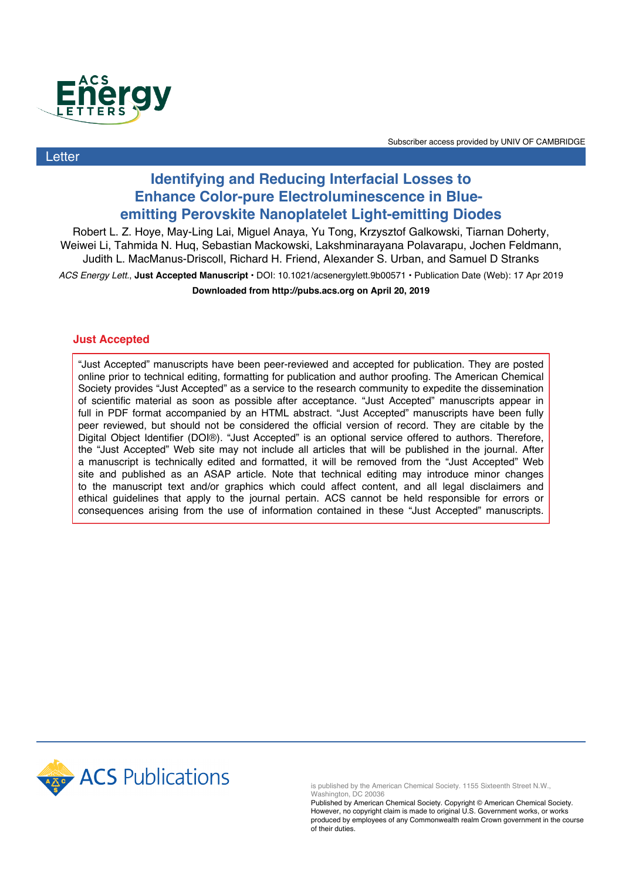

**Letter** 

Subscriber access provided by UNIV OF CAMBRIDGE

## **Identifying and Reducing Interfacial Losses to Enhance Color-pure Electroluminescence in Blueemitting Perovskite Nanoplatelet Light-emitting Diodes**

Robert L. Z. Hoye, May-Ling Lai, Miguel Anaya, Yu Tong, Krzysztof Galkowski, Tiarnan Doherty, Weiwei Li, Tahmida N. Huq, Sebastian Mackowski, Lakshminarayana Polavarapu, Jochen Feldmann, Judith L. MacManus-Driscoll, Richard H. Friend, Alexander S. Urban, and Samuel D Stranks

*ACS Energy Lett.*, **Just Accepted Manuscript** • DOI: 10.1021/acsenergylett.9b00571 • Publication Date (Web): 17 Apr 2019 **Downloaded from http://pubs.acs.org on April 20, 2019**

# **Just Accepted**

"Just Accepted" manuscripts have been peer-reviewed and accepted for publication. They are posted online prior to technical editing, formatting for publication and author proofing. The American Chemical Society provides "Just Accepted" as a service to the research community to expedite the dissemination of scientific material as soon as possible after acceptance. "Just Accepted" manuscripts appear in full in PDF format accompanied by an HTML abstract. "Just Accepted" manuscripts have been fully peer reviewed, but should not be considered the official version of record. They are citable by the Digital Object Identifier (DOI®). "Just Accepted" is an optional service offered to authors. Therefore, the "Just Accepted" Web site may not include all articles that will be published in the journal. After a manuscript is technically edited and formatted, it will be removed from the "Just Accepted" Web site and published as an ASAP article. Note that technical editing may introduce minor changes to the manuscript text and/or graphics which could affect content, and all legal disclaimers and ethical guidelines that apply to the journal pertain. ACS cannot be held responsible for errors or consequences arising from the use of information contained in these "Just Accepted" manuscripts.



is published by the American Chemical Society. 1155 Sixteenth Street N.W., Washington, DC 20036

Published by American Chemical Society. Copyright © American Chemical Society. However, no copyright claim is made to original U.S. Government works, or works produced by employees of any Commonwealth realm Crown government in the course of their duties.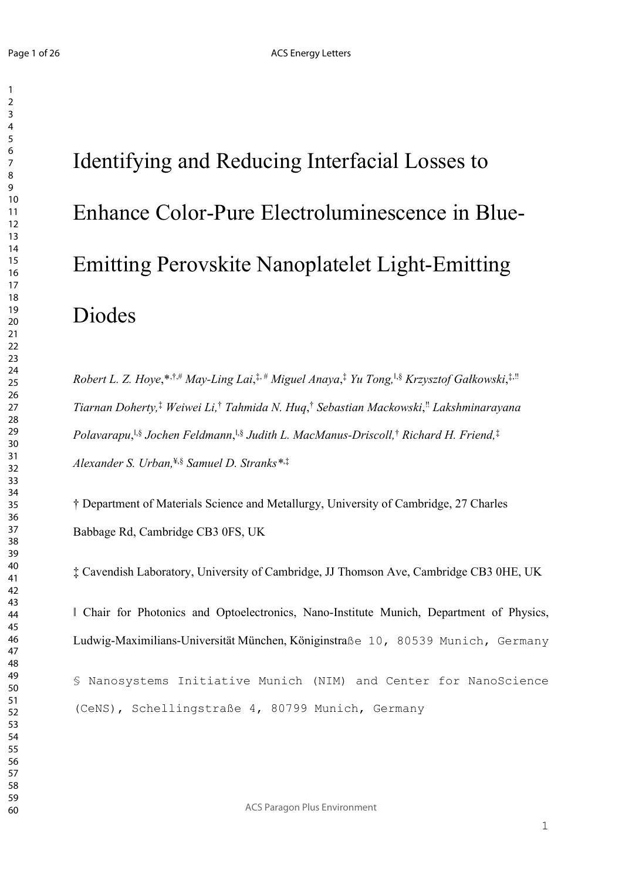Identifying and Reducing Interfacial Losses to Enhance Color-Pure Electroluminescence in Blue-Emitting Perovskite Nanoplatelet Light-Emitting Diodes

*Robert L. Z. Hoye*,\*,†,# *May-Ling Lai*, ‡, # *Miguel Anaya*, ‡ *Yu Tong,*‖,§ *Krzysztof Gałkowski*, ‡,‼ *Tiarnan Doherty,*‡ *Weiwei Li,*† *Tahmida N. Huq*, † *Sebastian Mackowski*, ‼ *Lakshminarayana Polavarapu*, ‖,§ *Jochen Feldmann*, ‖,§ *Judith L. MacManus-Driscoll,*† *Richard H. Friend,*‡ *Alexander S. Urban,*¥,§ *Samuel D. Stranks\**,‡

† Department of Materials Science and Metallurgy, University of Cambridge, 27 Charles Babbage Rd, Cambridge CB3 0FS, UK

‡ Cavendish Laboratory, University of Cambridge, JJ Thomson Ave, Cambridge CB3 0HE, UK

‖ Chair for Photonics and Optoelectronics, Nano-Institute Munich, Department of Physics, Ludwig-Maximilians-Universität München, Königinstraße 10, 80539 Munich, Germany

§ Nanosystems Initiative Munich (NIM) and Center for NanoScience (CeNS), Schellingstraße 4, 80799 Munich, Germany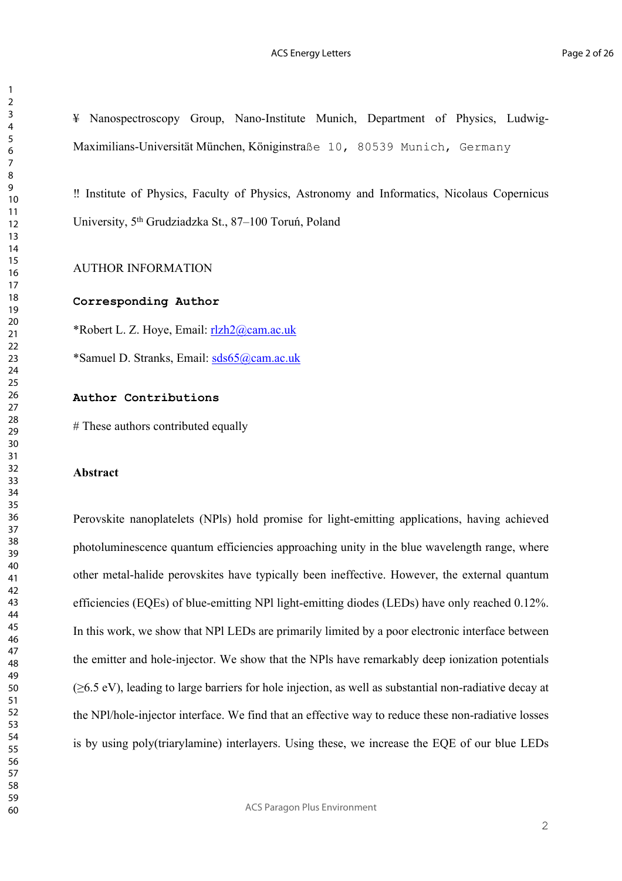¥ Nanospectroscopy Group, Nano-Institute Munich, Department of Physics, Ludwig-Maximilians-Universität München, Königinstraße 10, 80539 Munich, Germany

‼ Institute of Physics, Faculty of Physics, Astronomy and Informatics, Nicolaus Copernicus University, 5<sup>th</sup> Grudziadzka St., 87-100 Toruń, Poland

AUTHOR INFORMATION

#### **Corresponding Author**

\*Robert L. Z. Hoye, Email: rlzh2@cam.ac.uk

\*Samuel D. Stranks, Email: sds65@cam.ac.uk

## **Author Contributions**

# These authors contributed equally

## **Abstract**

Perovskite nanoplatelets (NPls) hold promise for light-emitting applications, having achieved photoluminescence quantum efficiencies approaching unity in the blue wavelength range, where other metal-halide perovskites have typically been ineffective. However, the external quantum efficiencies (EQEs) of blue-emitting NPl light-emitting diodes (LEDs) have only reached 0.12%. In this work, we show that NPl LEDs are primarily limited by a poor electronic interface between the emitter and hole-injector. We show that the NPls have remarkably deep ionization potentials (≥6.5 eV), leading to large barriers for hole injection, as well as substantial non-radiative decay at the NPl/hole-injector interface. We find that an effective way to reduce these non-radiative losses is by using poly(triarylamine) interlayers. Using these, we increase the EQE of our blue LEDs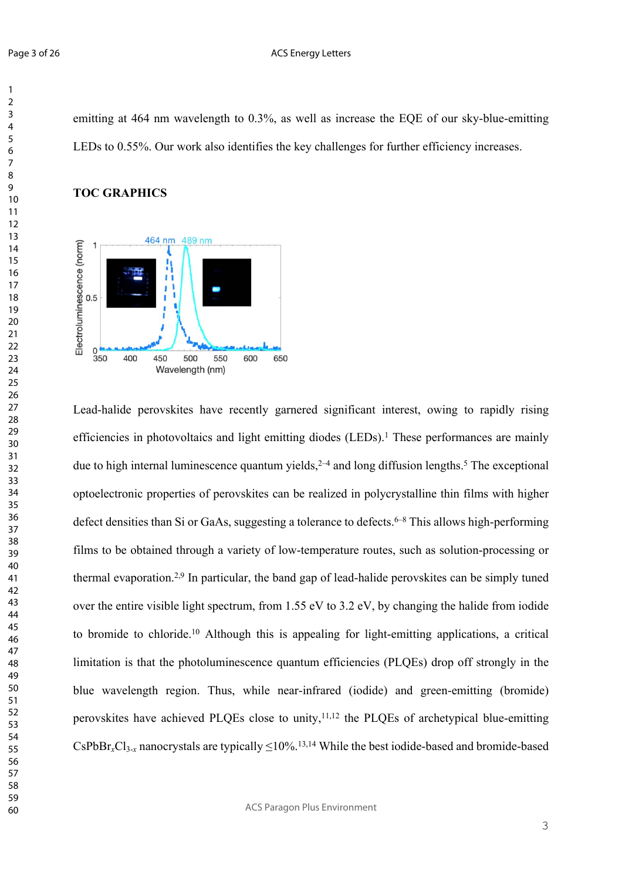emitting at 464 nm wavelength to 0.3%, as well as increase the EQE of our sky-blue-emitting LEDs to 0.55%. Our work also identifies the key challenges for further efficiency increases.

## **TOC GRAPHICS**



Lead-halide perovskites have recently garnered significant interest, owing to rapidly rising efficiencies in photovoltaics and light emitting diodes (LEDs).<sup>1</sup> These performances are mainly due to high internal luminescence quantum yields,  $2-4$  and long diffusion lengths.<sup>5</sup> The exceptional optoelectronic properties of perovskites can be realized in polycrystalline thin films with higher defect densities than Si or GaAs, suggesting a tolerance to defects.<sup>6–8</sup> This allows high-performing films to be obtained through a variety of low-temperature routes, such as solution-processing or thermal evaporation.2,9 In particular, the band gap of lead-halide perovskites can be simply tuned over the entire visible light spectrum, from 1.55 eV to 3.2 eV, by changing the halide from iodide to bromide to chloride.10 Although this is appealing for light-emitting applications, a critical limitation is that the photoluminescence quantum efficiencies (PLQEs) drop off strongly in the blue wavelength region. Thus, while near-infrared (iodide) and green-emitting (bromide) perovskites have achieved PLQEs close to unity, $11,12$  the PLQEs of archetypical blue-emitting  $CsPbBr_xCl_{3-x}$  nanocrystals are typically  $\leq 10\%$ .<sup>13,14</sup> While the best iodide-based and bromide-based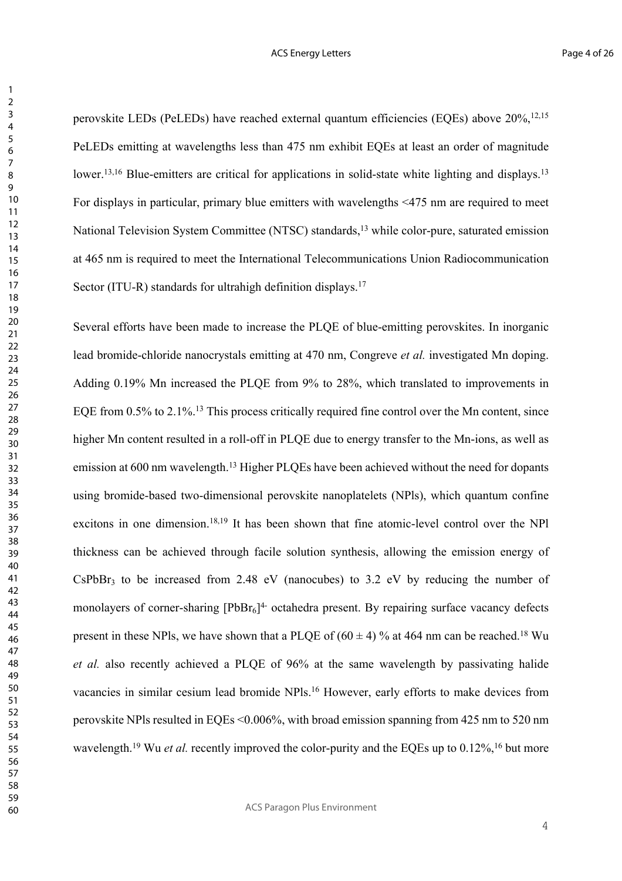perovskite LEDs (PeLEDs) have reached external quantum efficiencies (EQEs) above 20%,<sup>12,15</sup> PeLEDs emitting at wavelengths less than 475 nm exhibit EQEs at least an order of magnitude lower.<sup>13,16</sup> Blue-emitters are critical for applications in solid-state white lighting and displays.<sup>13</sup> For displays in particular, primary blue emitters with wavelengths <475 nm are required to meet National Television System Committee (NTSC) standards,<sup>13</sup> while color-pure, saturated emission at 465 nm is required to meet the International Telecommunications Union Radiocommunication Sector (ITU-R) standards for ultrahigh definition displays.<sup>17</sup>

Several efforts have been made to increase the PLQE of blue-emitting perovskites. In inorganic lead bromide-chloride nanocrystals emitting at 470 nm, Congreve *et al.* investigated Mn doping. Adding 0.19% Mn increased the PLQE from 9% to 28%, which translated to improvements in EQE from 0.5% to 2.1%.13 This process critically required fine control over the Mn content, since higher Mn content resulted in a roll-off in PLQE due to energy transfer to the Mn-ions, as well as emission at 600 nm wavelength.<sup>13</sup> Higher PLOEs have been achieved without the need for dopants using bromide-based two-dimensional perovskite nanoplatelets (NPls), which quantum confine excitons in one dimension.18,19 It has been shown that fine atomic-level control over the NPl thickness can be achieved through facile solution synthesis, allowing the emission energy of  $CsPbBr<sub>3</sub>$  to be increased from 2.48 eV (nanocubes) to 3.2 eV by reducing the number of monolayers of corner-sharing  $[PbBr<sub>6</sub>]<sup>4-</sup>$  octahedra present. By repairing surface vacancy defects present in these NPls, we have shown that a PLQE of  $(60 \pm 4)$  % at 464 nm can be reached.<sup>18</sup> Wu *et al.* also recently achieved a PLQE of 96% at the same wavelength by passivating halide vacancies in similar cesium lead bromide NPls.16 However, early efforts to make devices from perovskite NPls resulted in EQEs <0.006%, with broad emission spanning from 425 nm to 520 nm wavelength.<sup>19</sup> Wu *et al.* recently improved the color-purity and the EQEs up to 0.12%,<sup>16</sup> but more

ACS Paragon Plus Environment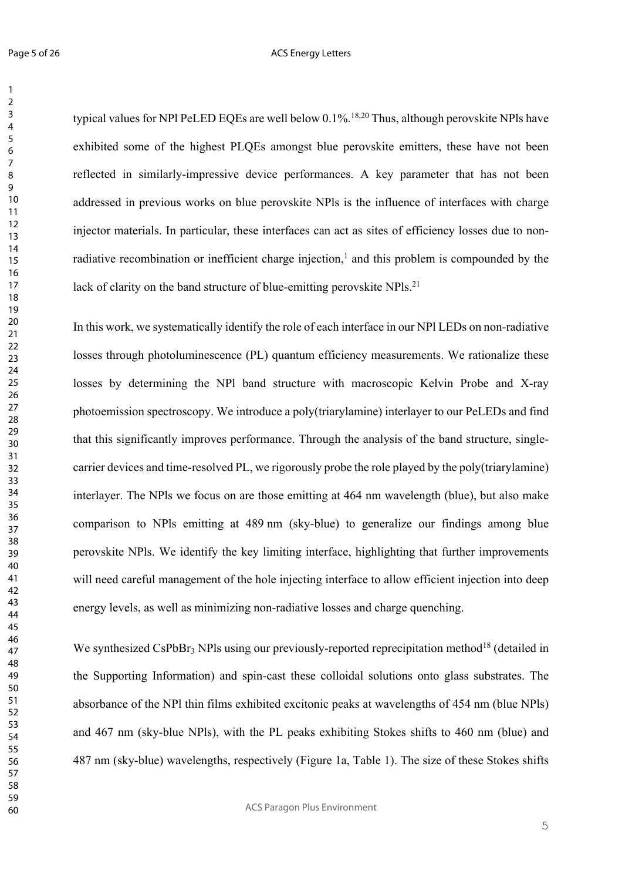typical values for NPl PeLED EQEs are well below 0.1%.18,20 Thus, although perovskite NPls have exhibited some of the highest PLQEs amongst blue perovskite emitters, these have not been reflected in similarly-impressive device performances. A key parameter that has not been addressed in previous works on blue perovskite NPls is the influence of interfaces with charge injector materials. In particular, these interfaces can act as sites of efficiency losses due to nonradiative recombination or inefficient charge injection, $<sup>1</sup>$  and this problem is compounded by the</sup> lack of clarity on the band structure of blue-emitting perovskite NPls.<sup>21</sup>

In this work, we systematically identify the role of each interface in our NPl LEDs on non-radiative losses through photoluminescence (PL) quantum efficiency measurements. We rationalize these losses by determining the NPl band structure with macroscopic Kelvin Probe and X-ray photoemission spectroscopy. We introduce a poly(triarylamine) interlayer to our PeLEDs and find that this significantly improves performance. Through the analysis of the band structure, singlecarrier devices and time-resolved PL, we rigorously probe the role played by the poly(triarylamine) interlayer. The NPls we focus on are those emitting at 464 nm wavelength (blue), but also make comparison to NPls emitting at 489 nm (sky-blue) to generalize our findings among blue perovskite NPls. We identify the key limiting interface, highlighting that further improvements will need careful management of the hole injecting interface to allow efficient injection into deep energy levels, as well as minimizing non-radiative losses and charge quenching.

We synthesized CsPbBr<sub>3</sub> NPls using our previously-reported reprecipitation method<sup>18</sup> (detailed in the Supporting Information) and spin-cast these colloidal solutions onto glass substrates. The absorbance of the NPl thin films exhibited excitonic peaks at wavelengths of 454 nm (blue NPls) and 467 nm (sky-blue NPls), with the PL peaks exhibiting Stokes shifts to 460 nm (blue) and 487 nm (sky-blue) wavelengths, respectively (Figure 1a, Table 1). The size of these Stokes shifts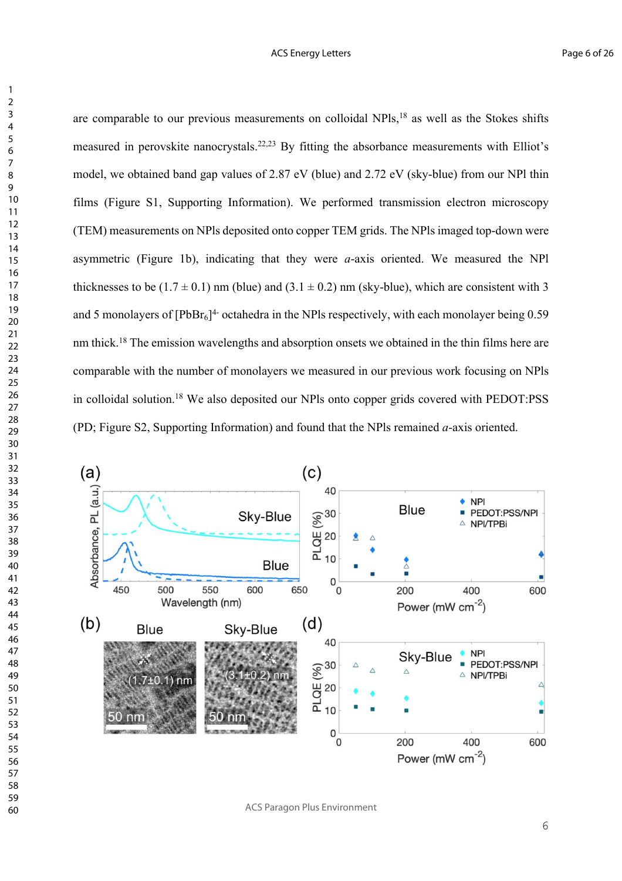are comparable to our previous measurements on colloidal NPls,<sup>18</sup> as well as the Stokes shifts measured in perovskite nanocrystals.22,23 By fitting the absorbance measurements with Elliot's model, we obtained band gap values of 2.87 eV (blue) and 2.72 eV (sky-blue) from our NPl thin films (Figure S1, Supporting Information). We performed transmission electron microscopy (TEM) measurements on NPls deposited onto copper TEM grids. The NPls imaged top-down were asymmetric (Figure 1b), indicating that they were *a*-axis oriented. We measured the NPl thicknesses to be  $(1.7 \pm 0.1)$  nm (blue) and  $(3.1 \pm 0.2)$  nm (sky-blue), which are consistent with 3 and 5 monolayers of  $[PbBr_6]^4$ - octahedra in the NPls respectively, with each monolayer being 0.59 nm thick.18 The emission wavelengths and absorption onsets we obtained in the thin films here are comparable with the number of monolayers we measured in our previous work focusing on NPls in colloidal solution.18 We also deposited our NPls onto copper grids covered with PEDOT:PSS (PD; Figure S2, Supporting Information) and found that the NPls remained *a*-axis oriented.



ACS Paragon Plus Environment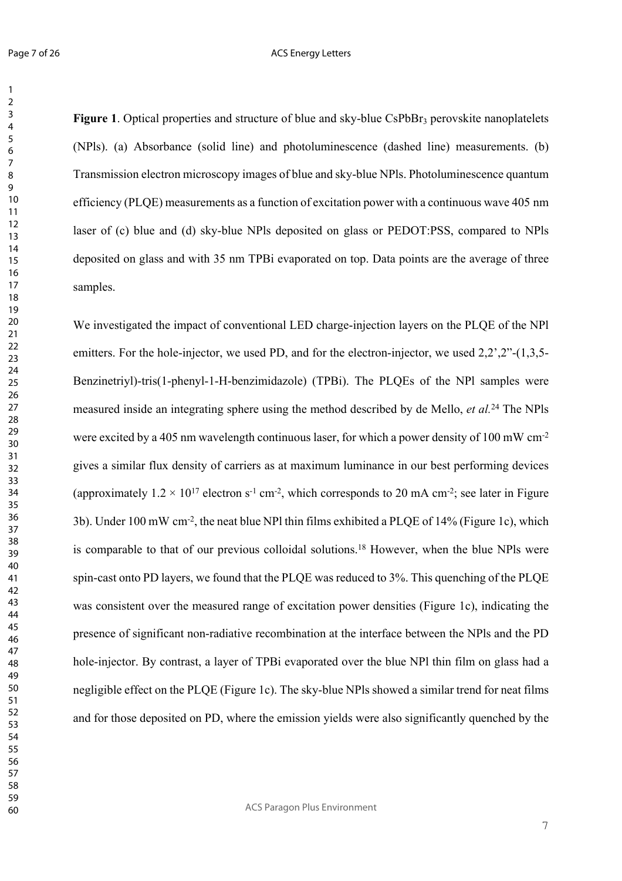#### ACS Energy Letters

**Figure 1**. Optical properties and structure of blue and sky-blue CsPbBr<sub>3</sub> perovskite nanoplatelets (NPls). (a) Absorbance (solid line) and photoluminescence (dashed line) measurements. (b) Transmission electron microscopy images of blue and sky-blue NPls. Photoluminescence quantum efficiency (PLQE) measurements as a function of excitation power with a continuous wave 405 nm laser of (c) blue and (d) sky-blue NPls deposited on glass or PEDOT:PSS, compared to NPls deposited on glass and with 35 nm TPBi evaporated on top. Data points are the average of three samples.

We investigated the impact of conventional LED charge-injection layers on the PLQE of the NPl emitters. For the hole-injector, we used PD, and for the electron-injector, we used 2.2',2"-(1,3,5-Benzinetriyl)-tris(1-phenyl-1-H-benzimidazole) (TPBi). The PLQEs of the NPl samples were measured inside an integrating sphere using the method described by de Mello, *et al.*24 The NPls were excited by a 405 nm wavelength continuous laser, for which a power density of 100 mW cm-2 gives a similar flux density of carriers as at maximum luminance in our best performing devices (approximately  $1.2 \times 10^{17}$  electron s<sup>-1</sup> cm<sup>-2</sup>, which corresponds to 20 mA cm<sup>-2</sup>; see later in Figure 3b). Under 100 mW cm-2, the neat blue NPl thin films exhibited a PLQE of 14% (Figure 1c), which is comparable to that of our previous colloidal solutions.18 However, when the blue NPls were spin-cast onto PD layers, we found that the PLQE was reduced to 3%. This quenching of the PLQE was consistent over the measured range of excitation power densities (Figure 1c), indicating the presence of significant non-radiative recombination at the interface between the NPls and the PD hole-injector. By contrast, a layer of TPBi evaporated over the blue NPl thin film on glass had a negligible effect on the PLQE (Figure 1c). The sky-blue NPls showed a similar trend for neat films and for those deposited on PD, where the emission yields were also significantly quenched by the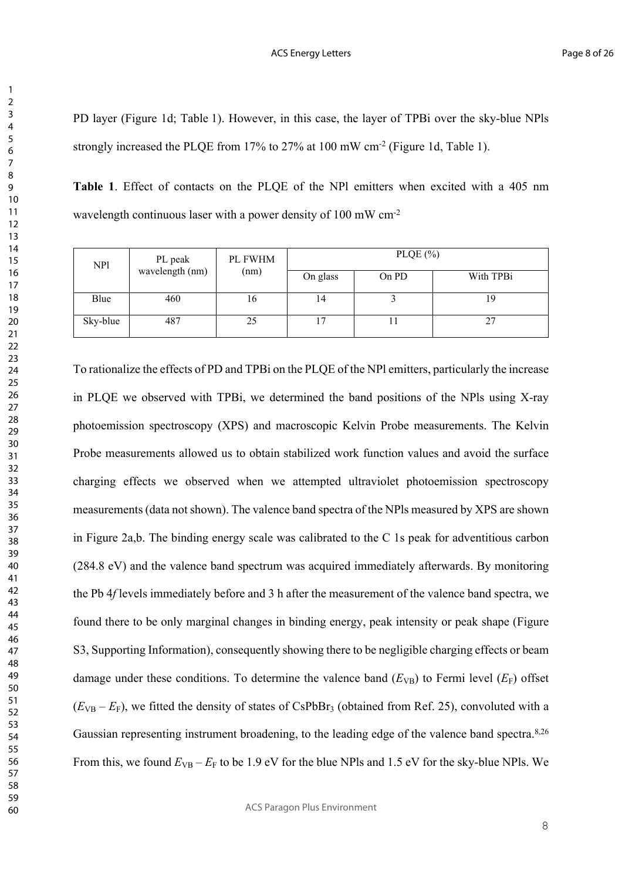PD layer (Figure 1d; Table 1). However, in this case, the layer of TPBi over the sky-blue NPls strongly increased the PLQE from 17% to 27% at 100 mW cm-2 (Figure 1d, Table 1).

**Table 1**. Effect of contacts on the PLQE of the NPl emitters when excited with a 405 nm wavelength continuous laser with a power density of 100 mW cm-2

| NP1      | PL peak<br>wavelength (nm) | PL FWHM<br>(nm) | PLQE $(\% )$ |       |           |  |
|----------|----------------------------|-----------------|--------------|-------|-----------|--|
|          |                            |                 | On glass     | On PD | With TPBi |  |
| Blue     | 460                        | 16              | 14           |       | 19        |  |
| Sky-blue | 487                        | 25              |              | 11    | 27        |  |

To rationalize the effects of PD and TPBi on the PLQE of the NPl emitters, particularly the increase in PLQE we observed with TPBi, we determined the band positions of the NPls using X-ray photoemission spectroscopy (XPS) and macroscopic Kelvin Probe measurements. The Kelvin Probe measurements allowed us to obtain stabilized work function values and avoid the surface charging effects we observed when we attempted ultraviolet photoemission spectroscopy measurements (data not shown). The valence band spectra of the NPls measured by XPS are shown in Figure 2a,b. The binding energy scale was calibrated to the C 1s peak for adventitious carbon (284.8 eV) and the valence band spectrum was acquired immediately afterwards. By monitoring the Pb 4*f* levels immediately before and 3 h after the measurement of the valence band spectra, we found there to be only marginal changes in binding energy, peak intensity or peak shape (Figure S3, Supporting Information), consequently showing there to be negligible charging effects or beam damage under these conditions. To determine the valence band  $(E_{VB})$  to Fermi level  $(E_F)$  offset  $(E_{VB} - E_{F})$ , we fitted the density of states of CsPbBr<sub>3</sub> (obtained from Ref. 25), convoluted with a Gaussian representing instrument broadening, to the leading edge of the valence band spectra.8,26 From this, we found  $E_{VB} - E_F$  to be 1.9 eV for the blue NPls and 1.5 eV for the sky-blue NPls. We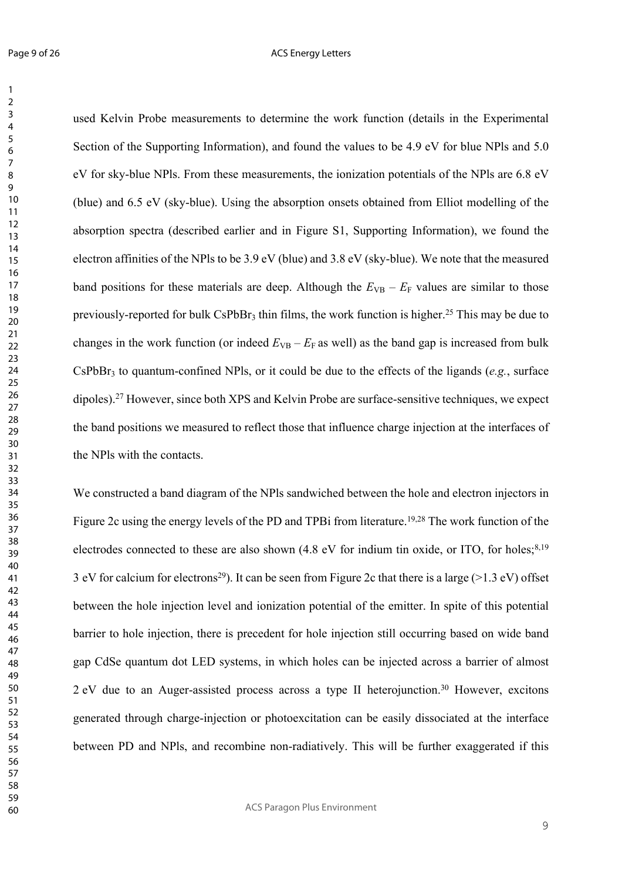used Kelvin Probe measurements to determine the work function (details in the Experimental Section of the Supporting Information), and found the values to be 4.9 eV for blue NPls and 5.0 eV for sky-blue NPls. From these measurements, the ionization potentials of the NPls are 6.8 eV (blue) and 6.5 eV (sky-blue). Using the absorption onsets obtained from Elliot modelling of the absorption spectra (described earlier and in Figure S1, Supporting Information), we found the electron affinities of the NPls to be 3.9 eV (blue) and 3.8 eV (sky-blue). We note that the measured band positions for these materials are deep. Although the  $E_{VB} - E_F$  values are similar to those previously-reported for bulk CsPbBr<sub>3</sub> thin films, the work function is higher.<sup>25</sup> This may be due to changes in the work function (or indeed  $E_{VB} - E_F$  as well) as the band gap is increased from bulk  $CsPbBr<sub>3</sub>$  to quantum-confined NPls, or it could be due to the effects of the ligands ( $e.g.,$  surface dipoles).27 However, since both XPS and Kelvin Probe are surface-sensitive techniques, we expect the band positions we measured to reflect those that influence charge injection at the interfaces of the NPls with the contacts.

We constructed a band diagram of the NPls sandwiched between the hole and electron injectors in Figure 2c using the energy levels of the PD and TPBi from literature.<sup>19,28</sup> The work function of the electrodes connected to these are also shown  $(4.8 \text{ eV}$  for indium tin oxide, or ITO, for holes;<sup>8,19</sup> 3 eV for calcium for electrons<sup>29</sup>). It can be seen from Figure 2c that there is a large (>1.3 eV) offset between the hole injection level and ionization potential of the emitter. In spite of this potential barrier to hole injection, there is precedent for hole injection still occurring based on wide band gap CdSe quantum dot LED systems, in which holes can be injected across a barrier of almost 2 eV due to an Auger-assisted process across a type II heterojunction.30 However, excitons generated through charge-injection or photoexcitation can be easily dissociated at the interface between PD and NPls, and recombine non-radiatively. This will be further exaggerated if this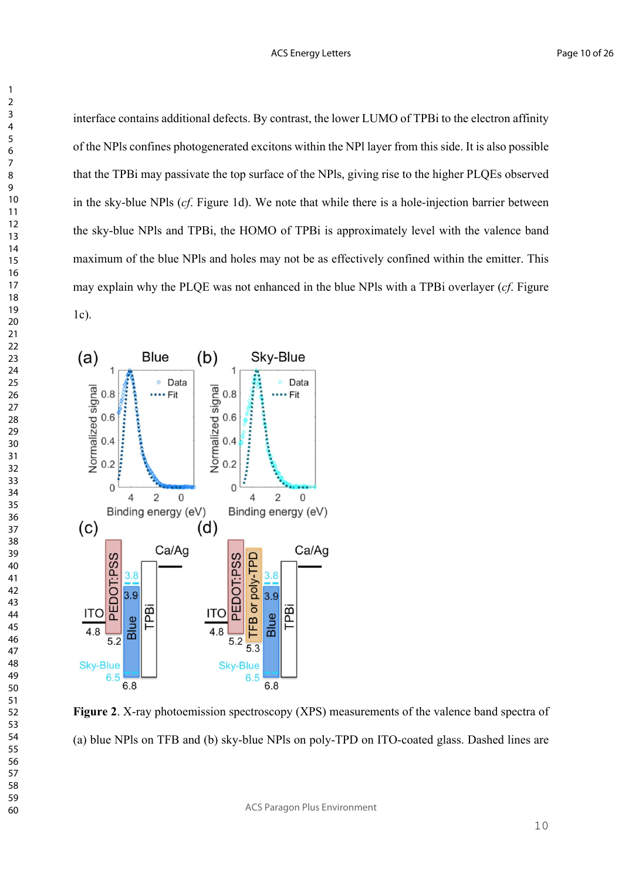interface contains additional defects. By contrast, the lower LUMO of TPBi to the electron affinity of the NPls confines photogenerated excitons within the NPl layer from this side. It is also possible that the TPBi may passivate the top surface of the NPls, giving rise to the higher PLQEs observed in the sky-blue NPls (*cf*. Figure 1d). We note that while there is a hole-injection barrier between the sky-blue NPls and TPBi, the HOMO of TPBi is approximately level with the valence band maximum of the blue NPls and holes may not be as effectively confined within the emitter. This may explain why the PLQE was not enhanced in the blue NPls with a TPBi overlayer (*cf*. Figure 1c).



**Figure 2**. X-ray photoemission spectroscopy (XPS) measurements of the valence band spectra of (a) blue NPls on TFB and (b) sky-blue NPls on poly-TPD on ITO-coated glass. Dashed lines are

ACS Paragon Plus Environment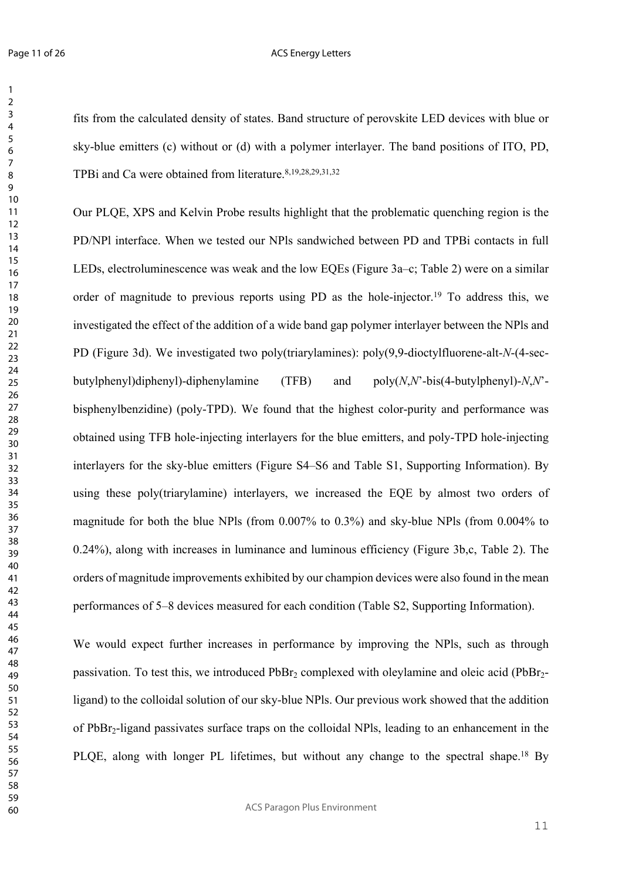#### ACS Energy Letters

fits from the calculated density of states. Band structure of perovskite LED devices with blue or sky-blue emitters (c) without or (d) with a polymer interlayer. The band positions of ITO, PD, TPBi and Ca were obtained from literature.<sup>8,19,28,29,31,32</sup>

Our PLQE, XPS and Kelvin Probe results highlight that the problematic quenching region is the PD/NPl interface. When we tested our NPls sandwiched between PD and TPBi contacts in full LEDs, electroluminescence was weak and the low EQEs (Figure 3a–c; Table 2) were on a similar order of magnitude to previous reports using PD as the hole-injector.19 To address this, we investigated the effect of the addition of a wide band gap polymer interlayer between the NPls and PD (Figure 3d). We investigated two poly(triarylamines): poly(9,9-dioctylfluorene-alt-*N*-(4-secbutylphenyl)diphenyl)-diphenylamine (TFB) and poly(*N*,*N*'-bis(4-butylphenyl)-*N*,*N*' bisphenylbenzidine) (poly-TPD). We found that the highest color-purity and performance was obtained using TFB hole-injecting interlayers for the blue emitters, and poly-TPD hole-injecting interlayers for the sky-blue emitters (Figure S4–S6 and Table S1, Supporting Information). By using these poly(triarylamine) interlayers, we increased the EQE by almost two orders of magnitude for both the blue NPls (from 0.007% to 0.3%) and sky-blue NPls (from 0.004% to 0.24%), along with increases in luminance and luminous efficiency (Figure 3b,c, Table 2). The orders of magnitude improvements exhibited by our champion devices were also found in the mean performances of 5–8 devices measured for each condition (Table S2, Supporting Information).

We would expect further increases in performance by improving the NPls, such as through passivation. To test this, we introduced  $PbBr<sub>2</sub>$  complexed with oleylamine and oleic acid (PbBr<sub>2</sub>ligand) to the colloidal solution of our sky-blue NPls. Our previous work showed that the addition of PbBr2-ligand passivates surface traps on the colloidal NPls, leading to an enhancement in the PLQE, along with longer PL lifetimes, but without any change to the spectral shape.<sup>18</sup> By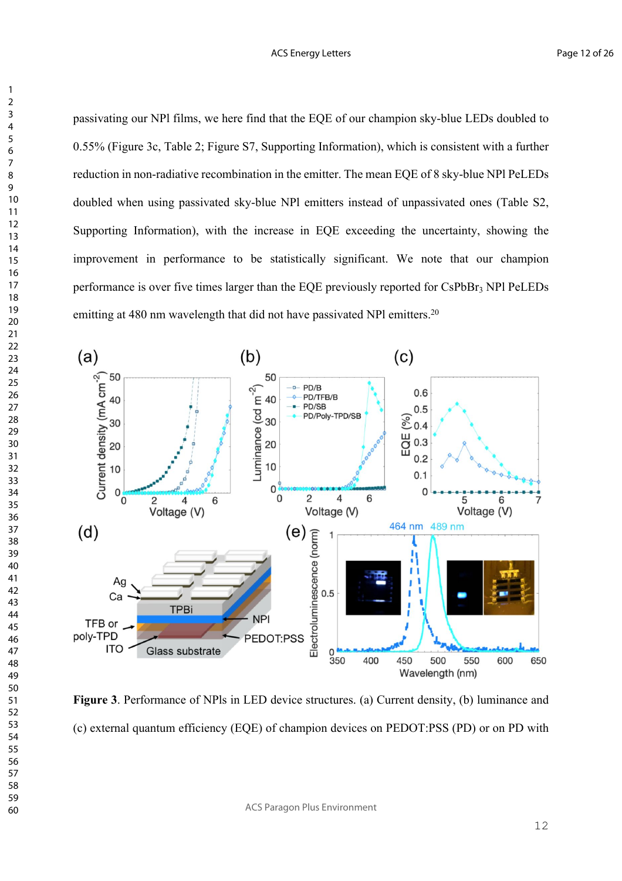passivating our NPl films, we here find that the EQE of our champion sky-blue LEDs doubled to 0.55% (Figure 3c, Table 2; Figure S7, Supporting Information), which is consistent with a further reduction in non-radiative recombination in the emitter. The mean EQE of 8 sky-blue NPl PeLEDs doubled when using passivated sky-blue NPl emitters instead of unpassivated ones (Table S2, Supporting Information), with the increase in EQE exceeding the uncertainty, showing the improvement in performance to be statistically significant. We note that our champion performance is over five times larger than the EQE previously reported for  $CsPbBr<sub>3</sub> NPI PeLEDs$ emitting at 480 nm wavelength that did not have passivated NPl emitters.<sup>20</sup>



**Figure 3**. Performance of NPls in LED device structures. (a) Current density, (b) luminance and (c) external quantum efficiency (EQE) of champion devices on PEDOT:PSS (PD) or on PD with

ACS Paragon Plus Environment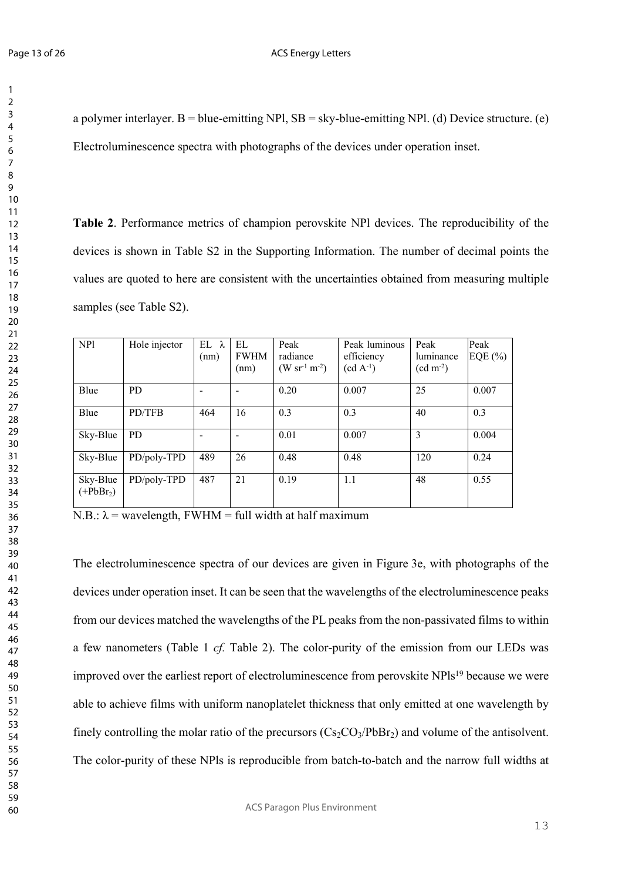a polymer interlayer. B = blue-emitting NPl,  $SB = sky$ -blue-emitting NPl. (d) Device structure. (e) Electroluminescence spectra with photographs of the devices under operation inset.

**Table 2**. Performance metrics of champion perovskite NPl devices. The reproducibility of the devices is shown in Table S2 in the Supporting Information. The number of decimal points the values are quoted to here are consistent with the uncertainties obtained from measuring multiple samples (see Table S2).

| NP1                    | Hole injector | $EL \lambda$<br>(nm) | EL<br><b>FWHM</b><br>(nm) | Peak<br>radiance<br>$(W \, sr^{-1} \, m^{-2})$ | Peak luminous<br>efficiency<br>$(cd A^{-1})$ | Peak<br>luminance<br>$(cd \, m^{-2})$ | Peak<br>EQE $(\% )$ |
|------------------------|---------------|----------------------|---------------------------|------------------------------------------------|----------------------------------------------|---------------------------------------|---------------------|
| Blue                   | <b>PD</b>     |                      |                           | 0.20                                           | 0.007                                        | 25                                    | 0.007               |
| Blue                   | PD/TFB        | 464                  | 16                        | 0.3                                            | 0.3                                          | 40                                    | 0.3                 |
| Sky-Blue               | <b>PD</b>     |                      |                           | 0.01                                           | 0.007                                        | 3                                     | 0.004               |
| Sky-Blue               | PD/poly-TPD   | 489                  | 26                        | 0.48                                           | 0.48                                         | 120                                   | 0.24                |
| Sky-Blue<br>$(+PbBr2)$ | PD/poly-TPD   | 487                  | 21                        | 0.19                                           | 1.1                                          | 48                                    | 0.55                |

N.B.:  $\lambda$  = wavelength, FWHM = full width at half maximum

The electroluminescence spectra of our devices are given in Figure 3e, with photographs of the devices under operation inset. It can be seen that the wavelengths of the electroluminescence peaks from our devices matched the wavelengths of the PL peaks from the non-passivated films to within a few nanometers (Table 1 *cf.* Table 2). The color-purity of the emission from our LEDs was improved over the earliest report of electroluminescence from perovskite NPls19 because we were able to achieve films with uniform nanoplatelet thickness that only emitted at one wavelength by finely controlling the molar ratio of the precursors  $(Cs_2CO_3/PbBr_2)$  and volume of the antisolvent. The color-purity of these NPls is reproducible from batch-to-batch and the narrow full widths at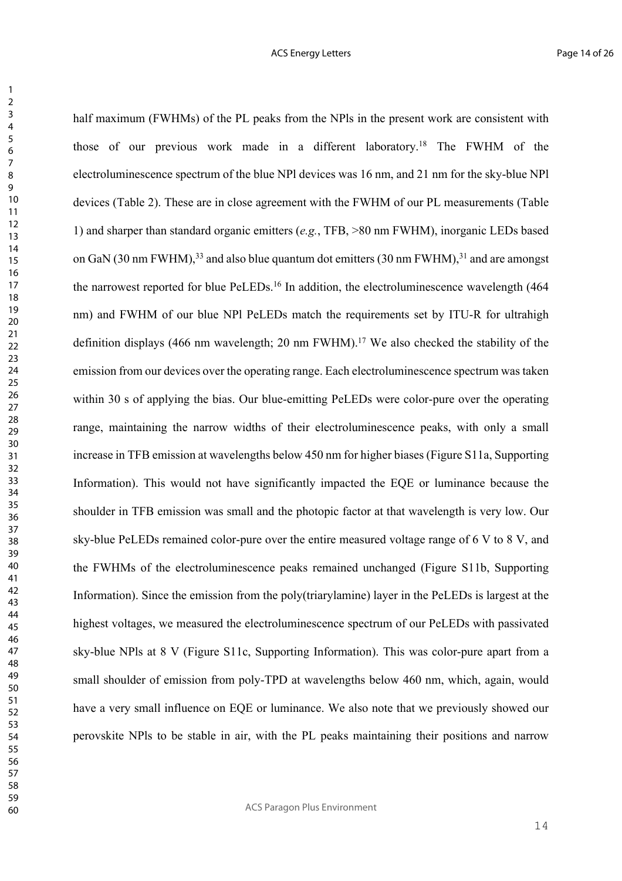half maximum (FWHMs) of the PL peaks from the NPls in the present work are consistent with those of our previous work made in a different laboratory.18 The FWHM of the electroluminescence spectrum of the blue NPl devices was 16 nm, and 21 nm for the sky-blue NPl devices (Table 2). These are in close agreement with the FWHM of our PL measurements (Table 1) and sharper than standard organic emitters (*e.g.*, TFB, >80 nm FWHM), inorganic LEDs based on GaN (30 nm FWHM),<sup>33</sup> and also blue quantum dot emitters (30 nm FWHM),<sup>31</sup> and are amongst the narrowest reported for blue PeLEDs.16 In addition, the electroluminescence wavelength (464 nm) and FWHM of our blue NPl PeLEDs match the requirements set by ITU-R for ultrahigh definition displays (466 nm wavelength; 20 nm FWHM).17 We also checked the stability of the emission from our devices over the operating range. Each electroluminescence spectrum was taken within 30 s of applying the bias. Our blue-emitting PeLEDs were color-pure over the operating range, maintaining the narrow widths of their electroluminescence peaks, with only a small increase in TFB emission at wavelengths below 450 nm for higher biases (Figure S11a, Supporting Information). This would not have significantly impacted the EQE or luminance because the shoulder in TFB emission was small and the photopic factor at that wavelength is very low. Our sky-blue PeLEDs remained color-pure over the entire measured voltage range of 6 V to 8 V, and the FWHMs of the electroluminescence peaks remained unchanged (Figure S11b, Supporting Information). Since the emission from the poly(triarylamine) layer in the PeLEDs is largest at the highest voltages, we measured the electroluminescence spectrum of our PeLEDs with passivated sky-blue NPls at 8 V (Figure S11c, Supporting Information). This was color-pure apart from a small shoulder of emission from poly-TPD at wavelengths below 460 nm, which, again, would have a very small influence on EQE or luminance. We also note that we previously showed our perovskite NPls to be stable in air, with the PL peaks maintaining their positions and narrow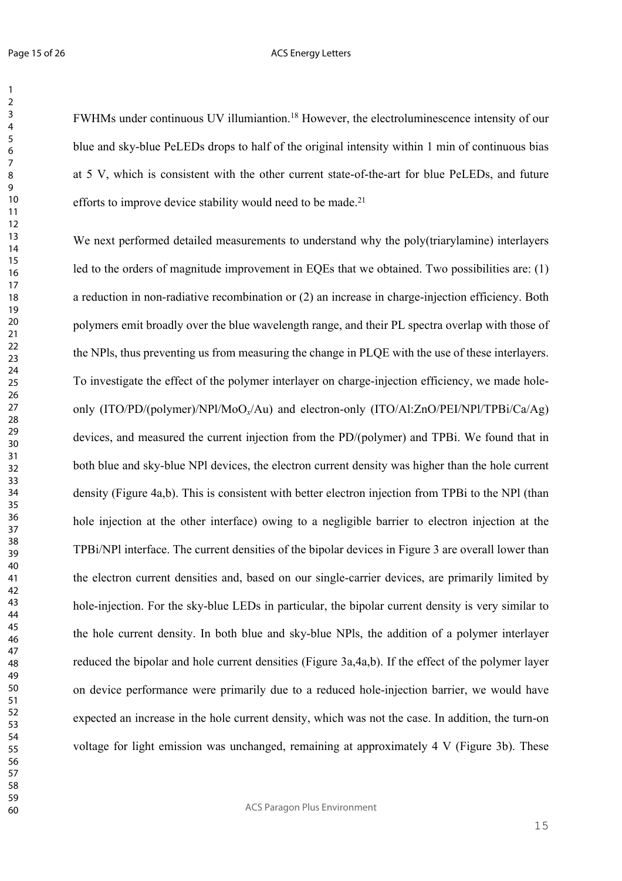FWHMs under continuous UV illumiantion.18 However, the electroluminescence intensity of our blue and sky-blue PeLEDs drops to half of the original intensity within 1 min of continuous bias at 5 V, which is consistent with the other current state-of-the-art for blue PeLEDs, and future efforts to improve device stability would need to be made.<sup>21</sup>

We next performed detailed measurements to understand why the poly(triarylamine) interlayers led to the orders of magnitude improvement in EQEs that we obtained. Two possibilities are: (1) a reduction in non-radiative recombination or (2) an increase in charge-injection efficiency. Both polymers emit broadly over the blue wavelength range, and their PL spectra overlap with those of the NPls, thus preventing us from measuring the change in PLQE with the use of these interlayers. To investigate the effect of the polymer interlayer on charge-injection efficiency, we made holeonly (ITO/PD/(polymer)/NPl/MoO*x*/Au) and electron-only (ITO/Al:ZnO/PEI/NPl/TPBi/Ca/Ag) devices, and measured the current injection from the PD/(polymer) and TPBi. We found that in both blue and sky-blue NPl devices, the electron current density was higher than the hole current density (Figure 4a,b). This is consistent with better electron injection from TPBi to the NPl (than hole injection at the other interface) owing to a negligible barrier to electron injection at the TPBi/NPl interface. The current densities of the bipolar devices in Figure 3 are overall lower than the electron current densities and, based on our single-carrier devices, are primarily limited by hole-injection. For the sky-blue LEDs in particular, the bipolar current density is very similar to the hole current density. In both blue and sky-blue NPls, the addition of a polymer interlayer reduced the bipolar and hole current densities (Figure 3a,4a,b). If the effect of the polymer layer on device performance were primarily due to a reduced hole-injection barrier, we would have expected an increase in the hole current density, which was not the case. In addition, the turn-on voltage for light emission was unchanged, remaining at approximately 4 V (Figure 3b). These

ACS Paragon Plus Environment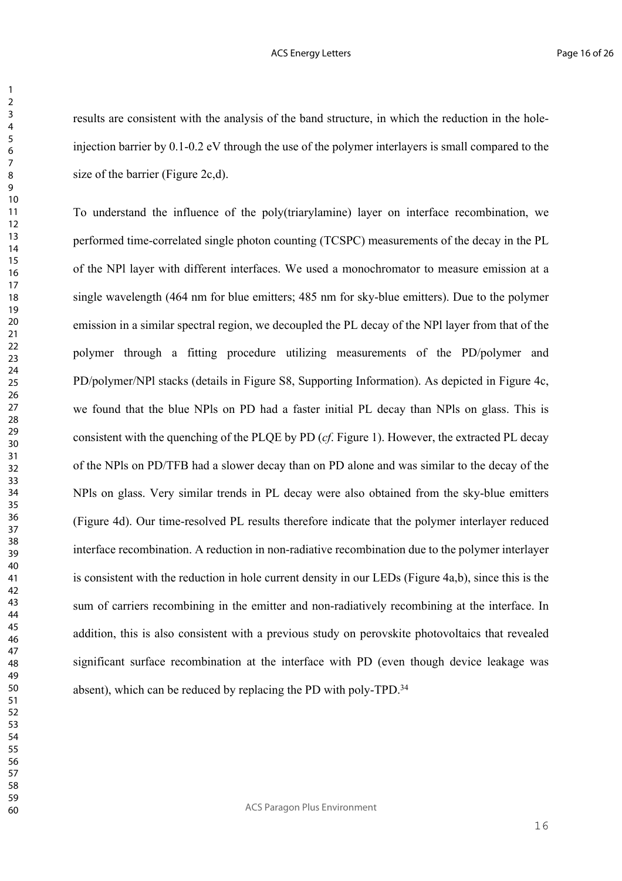results are consistent with the analysis of the band structure, in which the reduction in the holeinjection barrier by 0.1-0.2 eV through the use of the polymer interlayers is small compared to the size of the barrier (Figure 2c,d).

To understand the influence of the poly(triarylamine) layer on interface recombination, we performed time-correlated single photon counting (TCSPC) measurements of the decay in the PL of the NPl layer with different interfaces. We used a monochromator to measure emission at a single wavelength (464 nm for blue emitters; 485 nm for sky-blue emitters). Due to the polymer emission in a similar spectral region, we decoupled the PL decay of the NPl layer from that of the polymer through a fitting procedure utilizing measurements of the PD/polymer and PD/polymer/NPl stacks (details in Figure S8, Supporting Information). As depicted in Figure 4c, we found that the blue NPls on PD had a faster initial PL decay than NPls on glass. This is consistent with the quenching of the PLQE by PD (*cf*. Figure 1). However, the extracted PL decay of the NPls on PD/TFB had a slower decay than on PD alone and was similar to the decay of the NPls on glass. Very similar trends in PL decay were also obtained from the sky-blue emitters (Figure 4d). Our time-resolved PL results therefore indicate that the polymer interlayer reduced interface recombination. A reduction in non-radiative recombination due to the polymer interlayer is consistent with the reduction in hole current density in our LEDs (Figure 4a,b), since this is the sum of carriers recombining in the emitter and non-radiatively recombining at the interface. In addition, this is also consistent with a previous study on perovskite photovoltaics that revealed significant surface recombination at the interface with PD (even though device leakage was absent), which can be reduced by replacing the PD with poly-TPD.<sup>34</sup>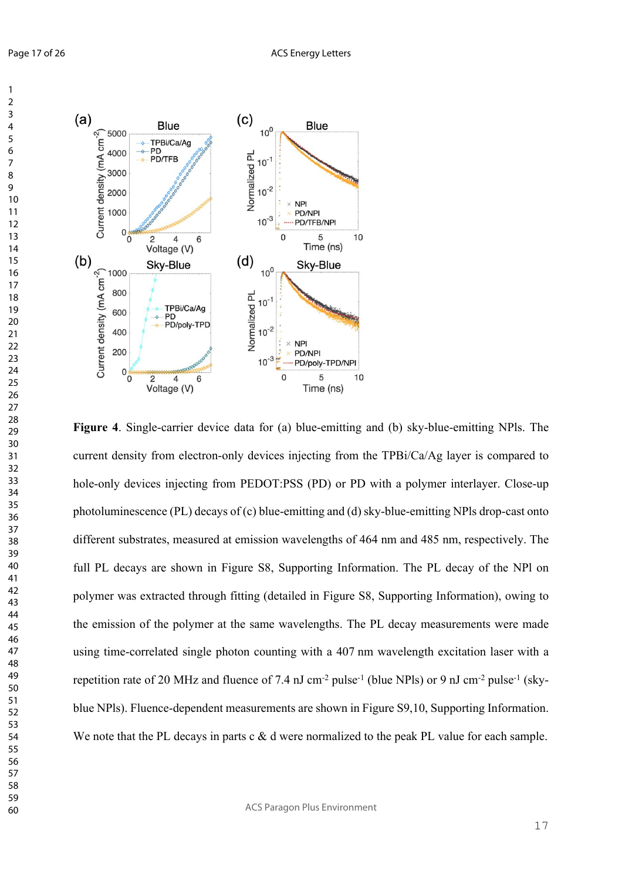

**Figure 4**. Single-carrier device data for (a) blue-emitting and (b) sky-blue-emitting NPls. The current density from electron-only devices injecting from the TPBi/Ca/Ag layer is compared to hole-only devices injecting from PEDOT:PSS (PD) or PD with a polymer interlayer. Close-up photoluminescence (PL) decays of (c) blue-emitting and (d) sky-blue-emitting NPls drop-cast onto different substrates, measured at emission wavelengths of 464 nm and 485 nm, respectively. The full PL decays are shown in Figure S8, Supporting Information. The PL decay of the NPl on polymer was extracted through fitting (detailed in Figure S8, Supporting Information), owing to the emission of the polymer at the same wavelengths. The PL decay measurements were made using time-correlated single photon counting with a 407 nm wavelength excitation laser with a repetition rate of 20 MHz and fluence of 7.4 nJ cm<sup>-2</sup> pulse<sup>-1</sup> (blue NPls) or 9 nJ cm<sup>-2</sup> pulse<sup>-1</sup> (skyblue NPls). Fluence-dependent measurements are shown in Figure S9,10, Supporting Information. We note that the PL decays in parts c & d were normalized to the peak PL value for each sample.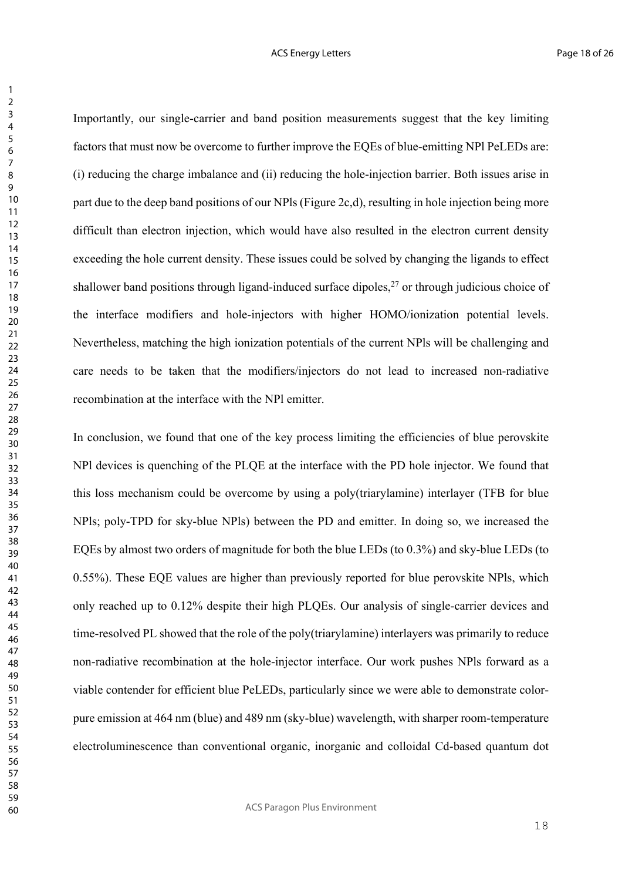Importantly, our single-carrier and band position measurements suggest that the key limiting factors that must now be overcome to further improve the EQEs of blue-emitting NPl PeLEDs are: (i) reducing the charge imbalance and (ii) reducing the hole-injection barrier. Both issues arise in part due to the deep band positions of our NPls (Figure 2c,d), resulting in hole injection being more difficult than electron injection, which would have also resulted in the electron current density exceeding the hole current density. These issues could be solved by changing the ligands to effect shallower band positions through ligand-induced surface dipoles, or through judicious choice of the interface modifiers and hole-injectors with higher HOMO/ionization potential levels. Nevertheless, matching the high ionization potentials of the current NPls will be challenging and care needs to be taken that the modifiers/injectors do not lead to increased non-radiative recombination at the interface with the NPl emitter.

In conclusion, we found that one of the key process limiting the efficiencies of blue perovskite NPl devices is quenching of the PLQE at the interface with the PD hole injector. We found that this loss mechanism could be overcome by using a poly(triarylamine) interlayer (TFB for blue NPls; poly-TPD for sky-blue NPls) between the PD and emitter. In doing so, we increased the EQEs by almost two orders of magnitude for both the blue LEDs (to 0.3%) and sky-blue LEDs (to 0.55%). These EQE values are higher than previously reported for blue perovskite NPls, which only reached up to 0.12% despite their high PLQEs. Our analysis of single-carrier devices and time-resolved PL showed that the role of the poly(triarylamine) interlayers was primarily to reduce non-radiative recombination at the hole-injector interface. Our work pushes NPls forward as a viable contender for efficient blue PeLEDs, particularly since we were able to demonstrate colorpure emission at 464 nm (blue) and 489 nm (sky-blue) wavelength, with sharper room-temperature electroluminescence than conventional organic, inorganic and colloidal Cd-based quantum dot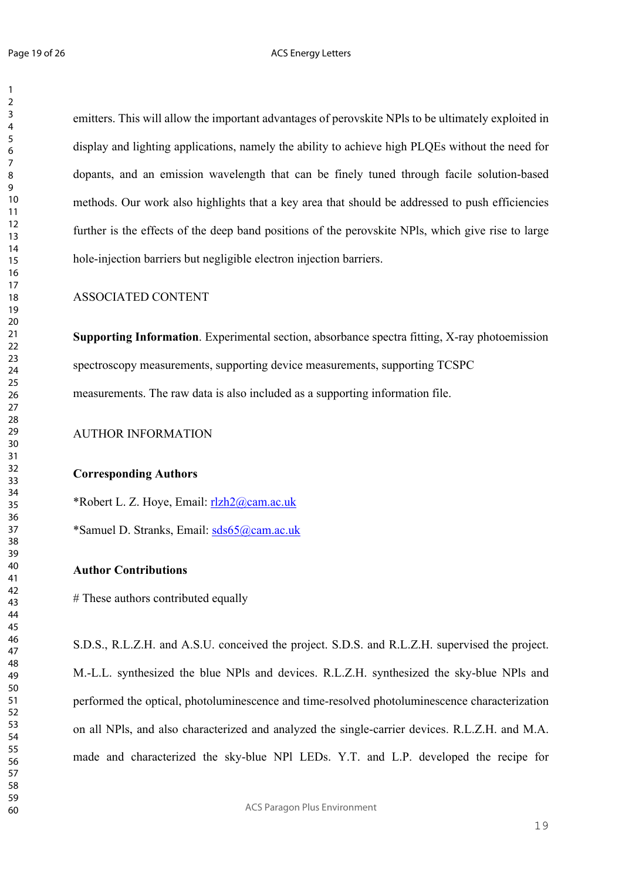emitters. This will allow the important advantages of perovskite NPls to be ultimately exploited in display and lighting applications, namely the ability to achieve high PLQEs without the need for dopants, and an emission wavelength that can be finely tuned through facile solution-based methods. Our work also highlights that a key area that should be addressed to push efficiencies further is the effects of the deep band positions of the perovskite NPls, which give rise to large hole-injection barriers but negligible electron injection barriers.

## ASSOCIATED CONTENT

**Supporting Information**. Experimental section, absorbance spectra fitting, X-ray photoemission spectroscopy measurements, supporting device measurements, supporting TCSPC measurements. The raw data is also included as a supporting information file.

AUTHOR INFORMATION

## **Corresponding Authors**

\*Robert L. Z. Hoye, Email: rlzh2@cam.ac.uk

\*Samuel D. Stranks, Email: sds65@cam.ac.uk

## **Author Contributions**

# These authors contributed equally

S.D.S., R.L.Z.H. and A.S.U. conceived the project. S.D.S. and R.L.Z.H. supervised the project. M.-L.L. synthesized the blue NPls and devices. R.L.Z.H. synthesized the sky-blue NPls and performed the optical, photoluminescence and time-resolved photoluminescence characterization on all NPls, and also characterized and analyzed the single-carrier devices. R.L.Z.H. and M.A. made and characterized the sky-blue NPl LEDs. Y.T. and L.P. developed the recipe for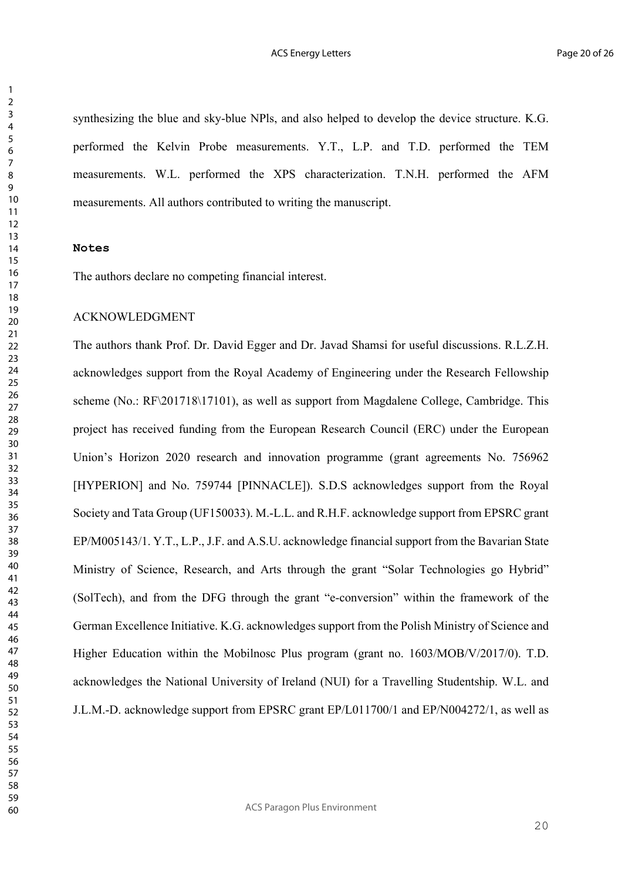synthesizing the blue and sky-blue NPls, and also helped to develop the device structure. K.G. performed the Kelvin Probe measurements. Y.T., L.P. and T.D. performed the TEM measurements. W.L. performed the XPS characterization. T.N.H. performed the AFM measurements. All authors contributed to writing the manuscript.

### **Notes**

The authors declare no competing financial interest.

## ACKNOWLEDGMENT

The authors thank Prof. Dr. David Egger and Dr. Javad Shamsi for useful discussions. R.L.Z.H. acknowledges support from the Royal Academy of Engineering under the Research Fellowship scheme (No.: RF\201718\17101), as well as support from Magdalene College, Cambridge. This project has received funding from the European Research Council (ERC) under the European Union's Horizon 2020 research and innovation programme (grant agreements No. 756962 [HYPERION] and No. 759744 [PINNACLE]). S.D.S acknowledges support from the Royal Society and Tata Group (UF150033). M.-L.L. and R.H.F. acknowledge support from EPSRC grant EP/M005143/1. Y.T., L.P., J.F. and A.S.U. acknowledge financial support from the Bavarian State Ministry of Science, Research, and Arts through the grant "Solar Technologies go Hybrid" (SolTech), and from the DFG through the grant "e-conversion" within the framework of the German Excellence Initiative. K.G. acknowledges support from the Polish Ministry of Science and Higher Education within the Mobilnosc Plus program (grant no. 1603/MOB/V/2017/0). T.D. acknowledges the National University of Ireland (NUI) for a Travelling Studentship. W.L. and J.L.M.-D. acknowledge support from EPSRC grant EP/L011700/1 and EP/N004272/1, as well as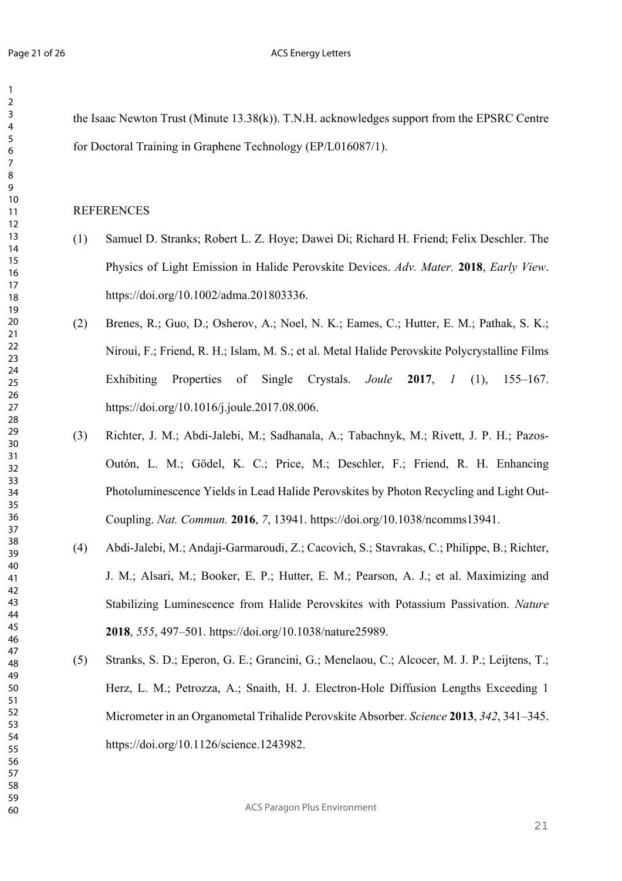#### ACS Energy Letters

the Isaac Newton Trust (Minute 13.38(k)). T.N.H. acknowledges support from the EPSRC Centre for Doctoral Training in Graphene Technology (EP/L016087/1).

## REFERENCES

- (1) Samuel D. Stranks; Robert L. Z. Hoye; Dawei Di; Richard H. Friend; Felix Deschler. The Physics of Light Emission in Halide Perovskite Devices. *Adv. Mater.* **2018**, *Early View*. https://doi.org/10.1002/adma.201803336.
- (2) Brenes, R.; Guo, D.; Osherov, A.; Noel, N. K.; Eames, C.; Hutter, E. M.; Pathak, S. K.; Niroui, F.; Friend, R. H.; Islam, M. S.; et al. Metal Halide Perovskite Polycrystalline Films Exhibiting Properties of Single Crystals. *Joule* **2017**, *1* (1), 155–167. https://doi.org/10.1016/j.joule.2017.08.006.
- (3) Richter, J. M.; Abdi-Jalebi, M.; Sadhanala, A.; Tabachnyk, M.; Rivett, J. P. H.; Pazos-Outón, L. M.; Gödel, K. C.; Price, M.; Deschler, F.; Friend, R. H. Enhancing Photoluminescence Yields in Lead Halide Perovskites by Photon Recycling and Light Out-Coupling. *Nat. Commun.* **2016**, *7*, 13941. https://doi.org/10.1038/ncomms13941.
- (4) Abdi-Jalebi, M.; Andaji-Garmaroudi, Z.; Cacovich, S.; Stavrakas, C.; Philippe, B.; Richter, J. M.; Alsari, M.; Booker, E. P.; Hutter, E. M.; Pearson, A. J.; et al. Maximizing and Stabilizing Luminescence from Halide Perovskites with Potassium Passivation. *Nature* , *555*, 497–501. https://doi.org/10.1038/nature25989.
- (5) Stranks, S. D.; Eperon, G. E.; Grancini, G.; Menelaou, C.; Alcocer, M. J. P.; Leijtens, T.; Herz, L. M.; Petrozza, A.; Snaith, H. J. Electron-Hole Diffusion Lengths Exceeding 1 Micrometer in an Organometal Trihalide Perovskite Absorber. *Science* **2013**, *342*, 341–345. https://doi.org/10.1126/science.1243982.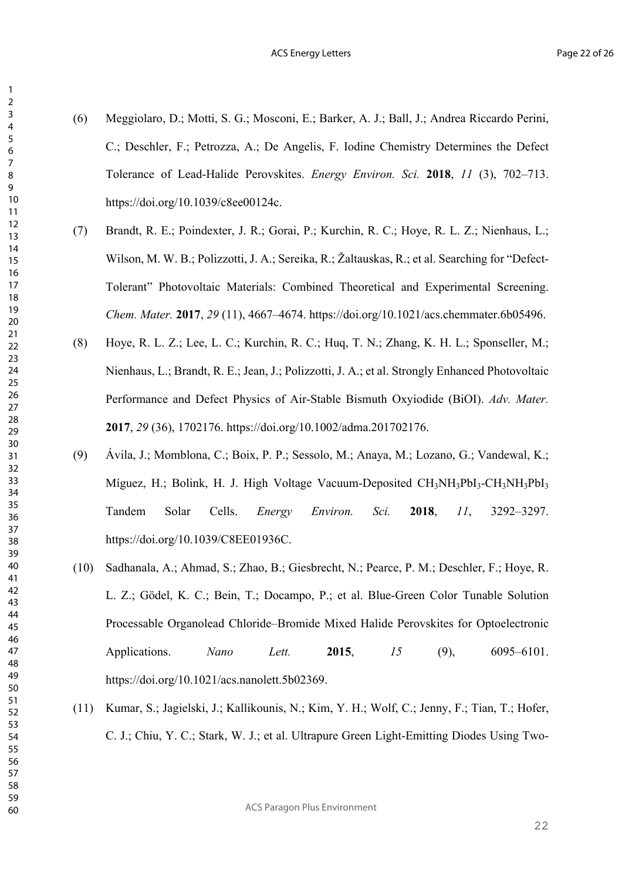- (6) Meggiolaro, D.; Motti, S. G.; Mosconi, E.; Barker, A. J.; Ball, J.; Andrea Riccardo Perini, C.; Deschler, F.; Petrozza, A.; De Angelis, F. Iodine Chemistry Determines the Defect Tolerance of Lead-Halide Perovskites. *Energy Environ. Sci.* **2018**, *11* (3), 702–713. https://doi.org/10.1039/c8ee00124c.
- (7) Brandt, R. E.; Poindexter, J. R.; Gorai, P.; Kurchin, R. C.; Hoye, R. L. Z.; Nienhaus, L.; Wilson, M. W. B.; Polizzotti, J. A.; Sereika, R.; Žaltauskas, R.; et al. Searching for "Defect-Tolerant" Photovoltaic Materials: Combined Theoretical and Experimental Screening. *Chem. Mater.* **2017**, *29* (11), 4667–4674. https://doi.org/10.1021/acs.chemmater.6b05496.
- (8) Hoye, R. L. Z.; Lee, L. C.; Kurchin, R. C.; Huq, T. N.; Zhang, K. H. L.; Sponseller, M.; Nienhaus, L.; Brandt, R. E.; Jean, J.; Polizzotti, J. A.; et al. Strongly Enhanced Photovoltaic Performance and Defect Physics of Air-Stable Bismuth Oxyiodide (BiOI). *Adv. Mater.* , *29* (36), 1702176. https://doi.org/10.1002/adma.201702176.
- (9) Ávila, J.; Momblona, C.; Boix, P. P.; Sessolo, M.; Anaya, M.; Lozano, G.; Vandewal, K.; Míguez, H.; Bolink, H. J. High Voltage Vacuum-Deposited  $CH_3NH_3PbI_3-CH_3NH_3PbI_3$ Tandem Solar Cells. *Energy Environ. Sci.* **2018**, *11*, 3292–3297. https://doi.org/10.1039/C8EE01936C.
- (10) Sadhanala, A.; Ahmad, S.; Zhao, B.; Giesbrecht, N.; Pearce, P. M.; Deschler, F.; Hoye, R. L. Z.; Gödel, K. C.; Bein, T.; Docampo, P.; et al. Blue-Green Color Tunable Solution Processable Organolead Chloride–Bromide Mixed Halide Perovskites for Optoelectronic Applications. *Nano Lett.* **2015**, *15* (9), 6095–6101. https://doi.org/10.1021/acs.nanolett.5b02369.
- (11) Kumar, S.; Jagielski, J.; Kallikounis, N.; Kim, Y. H.; Wolf, C.; Jenny, F.; Tian, T.; Hofer, C. J.; Chiu, Y. C.; Stark, W. J.; et al. Ultrapure Green Light-Emitting Diodes Using Two-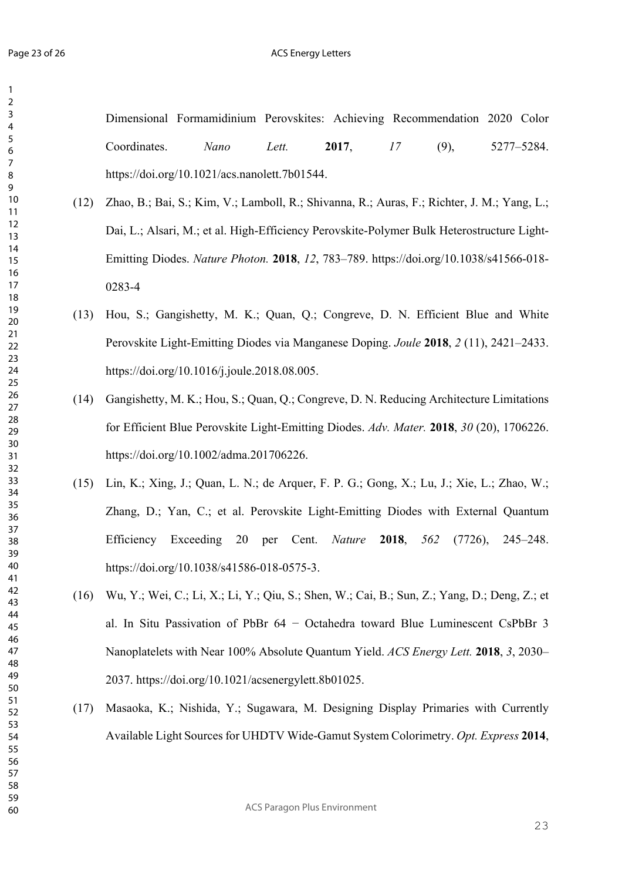#### ACS Energy Letters

Dimensional Formamidinium Perovskites: Achieving Recommendation 2020 Color Coordinates. *Nano Lett.* **2017**, *17* (9), 5277–5284. https://doi.org/10.1021/acs.nanolett.7b01544.

- (12) Zhao, B.; Bai, S.; Kim, V.; Lamboll, R.; Shivanna, R.; Auras, F.; Richter, J. M.; Yang, L.; Dai, L.; Alsari, M.; et al. High-Efficiency Perovskite-Polymer Bulk Heterostructure Light-Emitting Diodes. *Nature Photon.* **2018**, *12*, 783–789. https://doi.org/10.1038/s41566-018- 0283-4
- (13) Hou, S.; Gangishetty, M. K.; Quan, Q.; Congreve, D. N. Efficient Blue and White Perovskite Light-Emitting Diodes via Manganese Doping. *Joule* **2018**, *2* (11), 2421–2433. https://doi.org/10.1016/j.joule.2018.08.005.
- (14) Gangishetty, M. K.; Hou, S.; Quan, Q.; Congreve, D. N. Reducing Architecture Limitations for Efficient Blue Perovskite Light-Emitting Diodes. *Adv. Mater.* **2018**, *30* (20), 1706226. https://doi.org/10.1002/adma.201706226.
- (15) Lin, K.; Xing, J.; Quan, L. N.; de Arquer, F. P. G.; Gong, X.; Lu, J.; Xie, L.; Zhao, W.; Zhang, D.; Yan, C.; et al. Perovskite Light-Emitting Diodes with External Quantum Efficiency Exceeding 20 per Cent. *Nature* **2018**, *562* (7726), 245–248. https://doi.org/10.1038/s41586-018-0575-3.
- (16) Wu, Y.; Wei, C.; Li, X.; Li, Y.; Qiu, S.; Shen, W.; Cai, B.; Sun, Z.; Yang, D.; Deng, Z.; et al. In Situ Passivation of PbBr 64 − Octahedra toward Blue Luminescent CsPbBr 3 Nanoplatelets with Near 100% Absolute Quantum Yield. *ACS Energy Lett.* **2018**, *3*, 2030– 2037. https://doi.org/10.1021/acsenergylett.8b01025.
- (17) Masaoka, K.; Nishida, Y.; Sugawara, M. Designing Display Primaries with Currently Available Light Sources for UHDTV Wide-Gamut System Colorimetry. *Opt. Express* **2014**,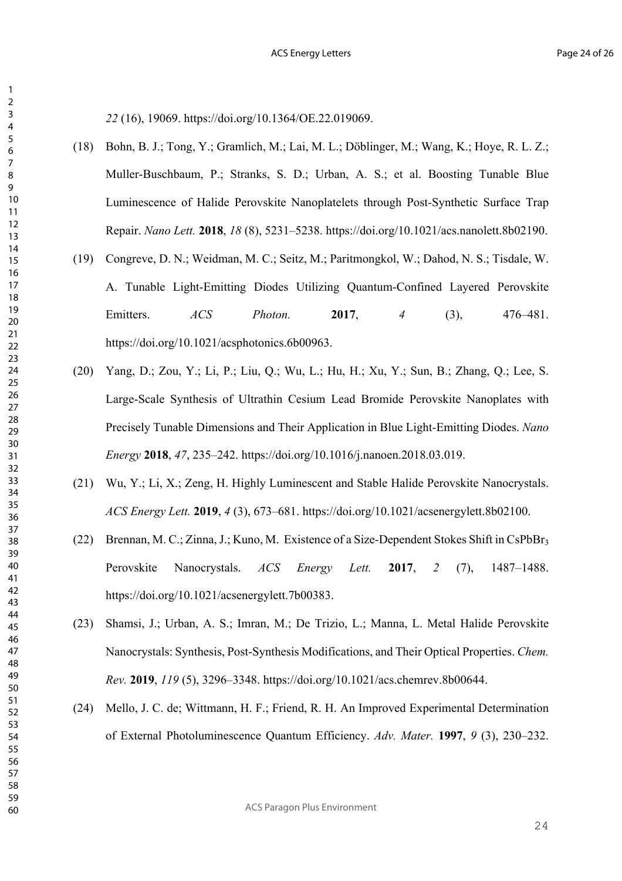(16), 19069. https://doi.org/10.1364/OE.22.019069.

- (18) Bohn, B. J.; Tong, Y.; Gramlich, M.; Lai, M. L.; Döblinger, M.; Wang, K.; Hoye, R. L. Z.; Muller-Buschbaum, P.; Stranks, S. D.; Urban, A. S.; et al. Boosting Tunable Blue Luminescence of Halide Perovskite Nanoplatelets through Post-Synthetic Surface Trap Repair. *Nano Lett.* **2018**, *18* (8), 5231–5238. https://doi.org/10.1021/acs.nanolett.8b02190.
- (19) Congreve, D. N.; Weidman, M. C.; Seitz, M.; Paritmongkol, W.; Dahod, N. S.; Tisdale, W. A. Tunable Light-Emitting Diodes Utilizing Quantum-Confined Layered Perovskite Emitters. *ACS Photon.* **2017**, *4* (3), 476–481. https://doi.org/10.1021/acsphotonics.6b00963.
- (20) Yang, D.; Zou, Y.; Li, P.; Liu, Q.; Wu, L.; Hu, H.; Xu, Y.; Sun, B.; Zhang, Q.; Lee, S. Large-Scale Synthesis of Ultrathin Cesium Lead Bromide Perovskite Nanoplates with Precisely Tunable Dimensions and Their Application in Blue Light-Emitting Diodes. *Nano Energy* **2018**, *47*, 235–242. https://doi.org/10.1016/j.nanoen.2018.03.019.
- (21) Wu, Y.; Li, X.; Zeng, H. Highly Luminescent and Stable Halide Perovskite Nanocrystals. *ACS Energy Lett.* **2019**, *4* (3), 673–681. https://doi.org/10.1021/acsenergylett.8b02100.
- (22) Brennan, M. C.; Zinna, J.; Kuno, M. Existence of a Size-Dependent Stokes Shift in CsPbBr3 Perovskite Nanocrystals. *ACS Energy Lett.* **2017**, *2* (7), 1487–1488. https://doi.org/10.1021/acsenergylett.7b00383.
- (23) Shamsi, J.; Urban, A. S.; Imran, M.; De Trizio, L.; Manna, L. Metal Halide Perovskite Nanocrystals: Synthesis, Post-Synthesis Modifications, and Their Optical Properties. *Chem. Rev.* **2019**, *119* (5), 3296–3348. https://doi.org/10.1021/acs.chemrev.8b00644.
- (24) Mello, J. C. de; Wittmann, H. F.; Friend, R. H. An Improved Experimental Determination of External Photoluminescence Quantum Efficiency. *Adv. Mater.* **1997**, *9* (3), 230–232.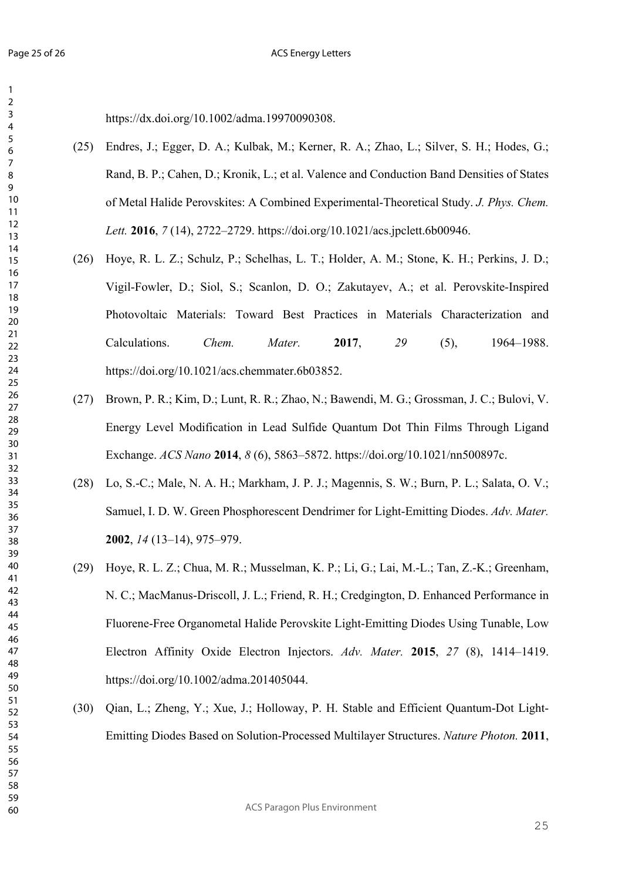https://dx.doi.org/10.1002/adma.19970090308.

- (25) Endres, J.; Egger, D. A.; Kulbak, M.; Kerner, R. A.; Zhao, L.; Silver, S. H.; Hodes, G.; Rand, B. P.; Cahen, D.; Kronik, L.; et al. Valence and Conduction Band Densities of States of Metal Halide Perovskites: A Combined Experimental-Theoretical Study. *J. Phys. Chem. Lett.* **2016**, *7* (14), 2722–2729. https://doi.org/10.1021/acs.jpclett.6b00946.
- (26) Hoye, R. L. Z.; Schulz, P.; Schelhas, L. T.; Holder, A. M.; Stone, K. H.; Perkins, J. D.; Vigil-Fowler, D.; Siol, S.; Scanlon, D. O.; Zakutayev, A.; et al. Perovskite-Inspired Photovoltaic Materials: Toward Best Practices in Materials Characterization and Calculations. *Chem. Mater.* **2017**, *29* (5), 1964–1988. https://doi.org/10.1021/acs.chemmater.6b03852.
- (27) Brown, P. R.; Kim, D.; Lunt, R. R.; Zhao, N.; Bawendi, M. G.; Grossman, J. C.; Bulovi, V. Energy Level Modification in Lead Sulfide Quantum Dot Thin Films Through Ligand Exchange. *ACS Nano* **2014**, *8* (6), 5863–5872. https://doi.org/10.1021/nn500897c.
- (28) Lo, S.-C.; Male, N. A. H.; Markham, J. P. J.; Magennis, S. W.; Burn, P. L.; Salata, O. V.; Samuel, I. D. W. Green Phosphorescent Dendrimer for Light-Emitting Diodes. *Adv. Mater.* , *14* (13–14), 975–979.
- (29) Hoye, R. L. Z.; Chua, M. R.; Musselman, K. P.; Li, G.; Lai, M.-L.; Tan, Z.-K.; Greenham, N. C.; MacManus-Driscoll, J. L.; Friend, R. H.; Credgington, D. Enhanced Performance in Fluorene-Free Organometal Halide Perovskite Light-Emitting Diodes Using Tunable, Low Electron Affinity Oxide Electron Injectors. *Adv. Mater.* **2015**, *27* (8), 1414–1419. https://doi.org/10.1002/adma.201405044.
- (30) Qian, L.; Zheng, Y.; Xue, J.; Holloway, P. H. Stable and Efficient Quantum-Dot Light-Emitting Diodes Based on Solution-Processed Multilayer Structures. *Nature Photon.* **2011**,